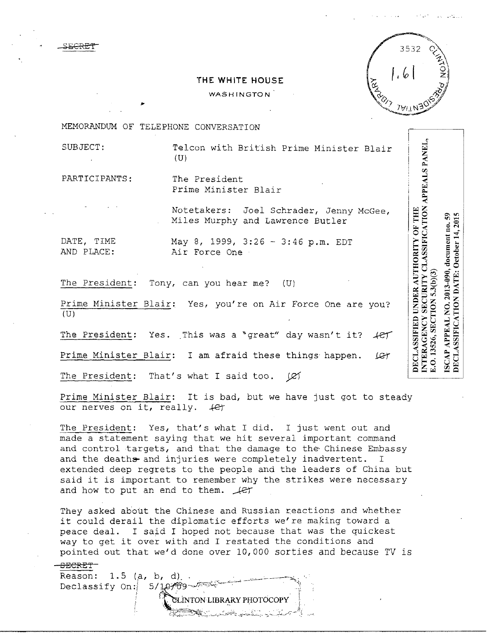

**NTERAGENCY SECURITY CLASSIFICATION APPEALS PANEL,** 

E.O. 13526, SECTION

ISCAP APPEAL NO. 2013-090, document no. 59<br>DECLASSIFICATION DATE: October 14, 2015 APPEAL NO. 2013-090, document no.

DECLASSIFIED UNDER AUTHORITY OF THE

## **THE WHITE HOUSE**

**WASHINGTON** 

MEMORANDUM OF TELEPHONE CONVERSATION

..

SUBJECT: Telcon with British Prime Minister Blair  $(U)$ 

PARTICIPANTS: The President

Prime Minister Blair

Notetakers: Joel Schrader, Jenny McGee, Miles Murphy and Lawrence Butler

DATE, TIME May 8, 1999, 3:26 - 3:46 p.m. EDT<br>AND PLACE: Air Force One Air Force One

The President: Tony, can you hear me? (U)

Prime Minister Blair: Yes, you're on Air Force One are you?  $(U)$ 

The President: Yes. This was a "great" day wasn't it?  $\downarrow$ er

Prime Minister Blair: I am afraid these things happen. *JE*T

The President: That's what I said too.  $\varnothing$ 

Prime Minister Blair: It is bad, but we have just got to steady our nerves on it, really.  $+e^+$ 

The President: Yes, that's what I did. I just went out and made a statement saying that we hit several important command and control targets, and that the damage to the, Chinese Embassy and the deaths and injuries were completely inadvertent. I extended deep regrets to the people and the leaders of China but said it is important to remember why the strikes were necessary and how to put an end to them.  $\mathcal{L}$ 

They asked about the Chinese and Russian reactions and whether it could derail the diplomatic efforts we're making toward a peace deal. I said I hoped not because that was the quickest way to get it over with and I restated the conditions and pointed out that we'd done over 10,000 sorties and because TV is

-SECRET-Reason:  $1.5$  (a, b, d). Declassify On:  $5/10/0$ :  $\sum_{i=1}^{\infty}$  . The magnetic state of  $\mathbb{Z}$  ,  $\mathbb{Z}$  ,  $\mathbb{Z}$  ,  $\mathbb{Z}$  ,  $\mathbb{Z}$  ,  $\mathbb{Z}$  ,  $\mathbb{Z}$  ,  $\mathbb{Z}$  ,  $\mathbb{Z}$  ,  $\mathbb{Z}$  ,  $\mathbb{Z}$  ,  $\mathbb{Z}$  ,  $\mathbb{Z}$  ,  $\mathbb{Z}$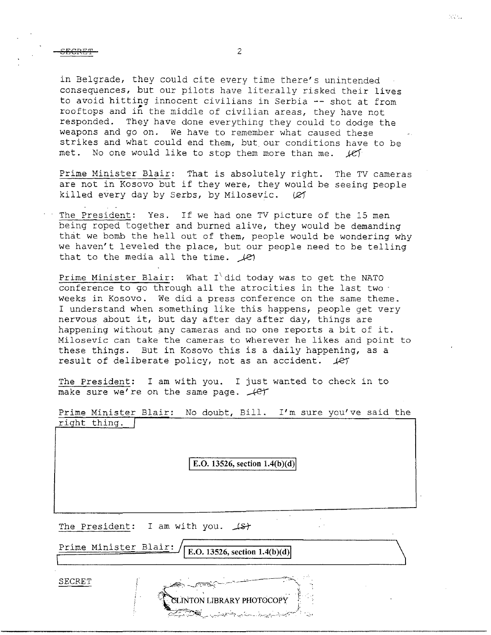in Belgrade, they could cite every time there's unintended consequences, but our pilots have literally risked their lives to avoid hitting innocent civilians in Serbia -- shot at from rooftops and in the middle of civilian areas, they have not responded. They have done everything they could to dodge the weapons and *go* on. We have to remember what caused these strikes and what could end them, but our conditions have to be met. No one would like to stop them more than me.  $k$ ef

Prime Minister Blair: That is absolutely right. The TV cameras are not in Kosovo but if they were, they would be seeing people killed every day by Serbs, by Milosevic.  $(2)$ 

The President: Yes. If we had one TV picture of the 15 men being roped together and burned alive, they would be demanding that we bomb the hell out of them, people would be wondering why we haven't leveled the place, but our people need to be telling that to the media all the time.  $\mathcal{L}$ 

Prime Minister Blair: What I did today was to get the NATO conference to go through all the atrocities in the last two weeks in Kosovo. We did a press conference on the same theme. I understand when something like this happens, people get very nervous about it, but day after day after day, things are happening without any cameras and no one reports a bit of it. Milosevic can take the cameras to wherever he likes and point to these things. But in Kosovo this is a daily happening, as a result of deliberate policy, not as an accident.  $\text{#}$ 

The President: I am with you. I just wanted to check in to<br>make sure we're on the same page. <del>(C</del>T make sure we're on the same page.

Prime Minister Blair: No doubt, Bill. I'm sure you've said the right thing.

**E.O.** 13526, section  $1.4(b)(d)$ 

The President: I am with you.  $\sqrt{s}$ 

'

Prime Minister Blair: **IE.O.** 13526, section 1.4(b)(d)

**INTON LIBRARY PHOTOCOI** 

SECRET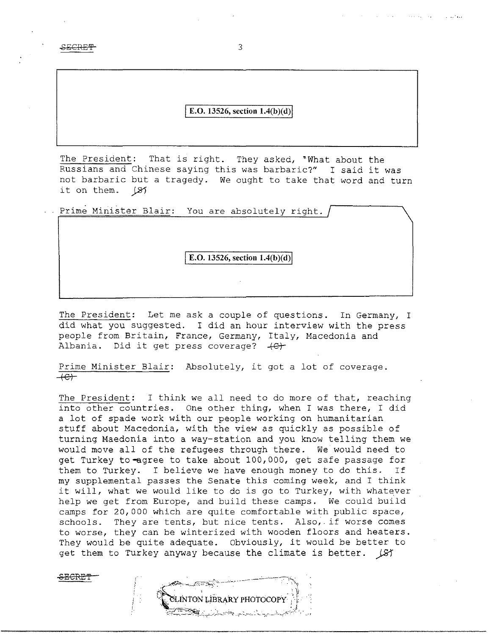SECRET 3

8ECRE'l.'

1.

## **E.O. 13526, section 1.4(b)(d)**

The President: That is right. They asked, 'What about the Russians and Chinese saying this was barbaric?" I said it was not barbaric but a tragedy. We ought to take that word and turn it on them. (27

Prime Minister Blair: You are absolutely right.

**E.O. 13526, section 1.4(b)(d)** 

The President: Let me ask a couple of questions. In Germany, I did what you suggested. I did an hour interview with the press people from Britain, France, Germany, Italy, Macedonia and Albania. Did it get press coverage?  $+e+$ 

Prime Minister Blair: Absolutely, it got a lot of coverage.  $+e+$ 

The President: I think we all need to do more of that, reaching into other countries. One other thing, when I was there, I did a lot of spade work with our people working on humanitarian stuff about Macedonia, with the view as quickly as possible of turning Maedonia into a way-station and you know telling them we would move all of the refugees through there. We would need to get Turkey to-agree to take about 100,000, get safe passage for them to Turkey. I believe we have enough money to do this. If my supplemental passes the Senate this coming week, and I think it will, what we would like to do is go to Turkey, with whatever help we get from Europe, and build these camps. We could build camps for 20,000 which are quite comfortable with public space, schools. They are tents, but nice tents. Also, if worse comes to worse, they can be winterized with wooden floors and heaters. They would be quite adequate. Obviously, it would be better to get them to Turkey anyway because the climate is better.  $\sqrt{5}$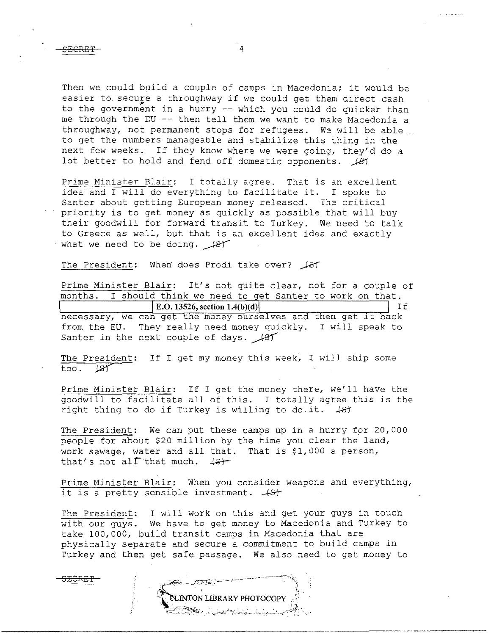SECRE'f

Then we could build a couple of camps in Macedonia; it would be easier to secure a throughway if we could get them direct cash<br>to the government in a hurry -- which you could do quicker than me through the EU -- then tell them we want to make Macedonia a throughway, not permanent stops for refugees. We will be able to get the numbers manageable and stabilize this thing in the next few weeks. If they know where we were going, they'd do a lot better to hold and fend off domestic opponents. *\_)-81* 

Prime Minister Blair: I totally agree. That is an excellent idea and I will do everything to facilitate it. I spoke to Santer about getting European money released. The critical priority is to get money as quickly as possible that will buy their goodwill for forward transit to Turkey. We need to talk to Greece as well, but that is an excellent idea and exactly what we need to be doing.  $\sqrt{8T}$ 

The President: When' does Prodi take over?  $\sqrt{8}$ 

Prime Minister Blair: It's not quite clear, not for a couple of months. I should think we need to get Santer to work on that. **E.O. 13526, section 1.4(b)(d) If** necessary, we can get the money ourselves and then get it back from the EU. They really need money quickly. I will speak to Santer in the next couple of days.  $\mathcal{A}$ 

The President: If I get my money this week, I will ship some too. (S) too.

Prime Minister Blair: If I get the money there, we'll have the goodwill to facilitate all of this. I totally agree this is the right thing to do if Turkey is willing to do it. *.k81* 

The President: We can put these camps up in a hurry for 20,000 people for about \$20 million by the time you clear the land, work sewage, water and all that. That is \$1,000 a person, that's not all that much.  $\sharp$ 

Prime Minister Blair: When you consider weapons and everything, it is a pretty sensible investment.  $+8$ 

The President: I will work on this and get your guys in touch with our guys. We have to get money to Macedonia and Turkey to take 100,000, build transit camps in Macedonia that are physically separate and secure a commitment to build camps in Turkey and then get safe passage. We also need to get money to

**CLINTON LIBRARY PHOTOCOPY** 

مداري المرابط والمرار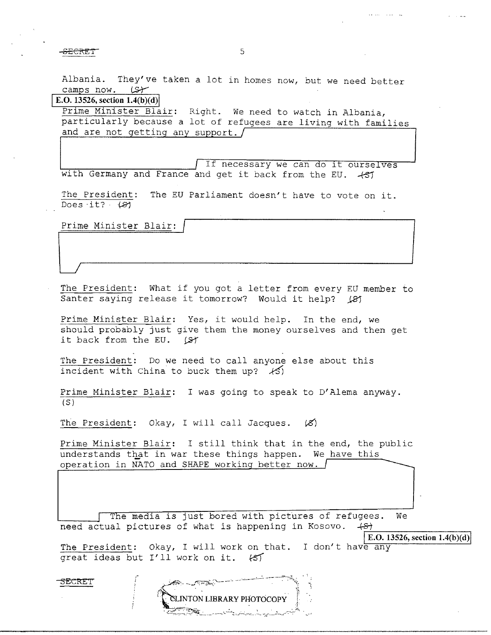for the set of the set of the set of the set of the set of the set of the set of the set of the set of the set of the set of the set of the set of the set of the set of the set of the set of the set of the set of the set o

Albania. They've taken a lot in homes now, but we need better camps now.  $(5)$ 

**E.O. 13526, section 1.4(b)(d)** 

Prime Minister Blair: Right. We need to watch in Albania, particularly because a lot of refugees are living with families and are not getting any support.  $\int$ 

If necessary we can do it ourselves with Germany and France and get it back from the EU. 487

The President: The EU Parliament doesn't have to vote on it. Does it? 481

Prime Minister Blair:

The President: What if you got a letter from every EU member to Santer saying release it tomorrow? Would it help? (81)

Prime Minister Blair: Yes, it would help. In the end, we should probably just give them the money ourselves and then get it back from the EU.  $\xi$ 

The President: Do we need to call anyone else about this incident with China to buck them up?  $\angle$ 

Prime Minister Blair: I was going to speak to D'Alema anyway.  $(S)$ 

The President: Okay, I will call Jacques.  $(X)$ 

Prime Minister Blair: I still think that in the end, the public understands that in war these things happen. We have this operation in NATO and SHAPE working better now.  $\int$ 

The media is just bored with pictures of refugees. We need actual pictures of what is happening in Kosovo.  $+8+1$ 

**ELINTON LIBRARY PHOTOCOPY** 

**E.O.** 13526, section  $1.4(b)(d)$ 

The President: Okay, I will work on that. I don't have any great ideas but I'll work on it.  $\{5\}$ 

3ECREI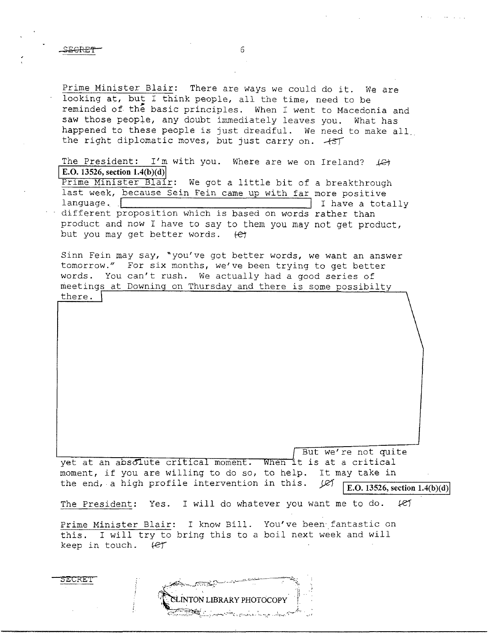**SECREI** 

Prime Minister Blair: There are ways we could do it. We are looking at, but I think people, all the time, need to be reminded of the basic principles. When I went to Macedonia and saw those people, any doubt immediately leaves you. What has happened to these people is just dreadful. *We* need to make all\_ the right diplomatic moves, but just carry on.  $+57$ 

The President: I'm with you. Where are we on Ireland?  $\downarrow$   $\leftrightarrow$ **E.O. 13526, section 1.4(b)(d)** 

Prime Minister Blair: We got a little bit of a breakthrough last week, because Sein Fein came up with far more positive<br>language. | I have a totally different proposition which is based on words rather than product and now I have to say to them you may not get product, but you may get better words. (et

Sinn Fein may say, ~you've got better words, we want an answer tomorrow." For six months, we've been trying to get better words. You can't rush. We actually had a good series of meetings at Downing on Thursday and there is some possibilty there. |

But we're not quite yet at an absolute critical moment. When it is at a critical moment, if you are willing to do so, to help. It may take in the end, a high profile intervention in this.  $\mathcal{L}$ the end, a high profile intervention in this.  $\cancel{\varphi}$   $\boxed{\text{E.0.13526, section 1.4(b)(d)}}$ The President: Yes. I will do whatever you want me to do. *keJ* 

Prime Minister Blair: I know Bill. You've been fantastic on this. I will try to bring this to a boil next week and will keep in touch.  $\ell$